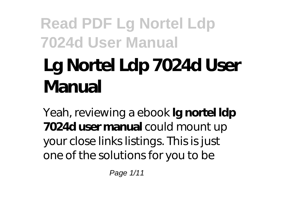# **Lg Nortel Ldp 7024d User Manual**

Yeah, reviewing a ebook **lg nortel ldp 7024d user manual** could mount up your close links listings. This is just one of the solutions for you to be

Page 1/11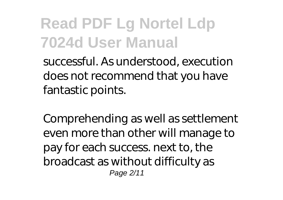successful. As understood, execution does not recommend that you have fantastic points.

Comprehending as well as settlement even more than other will manage to pay for each success. next to, the broadcast as without difficulty as Page 2/11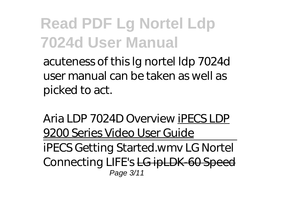acuteness of this lg nortel ldp 7024d user manual can be taken as well as picked to act.

*Aria LDP 7024D Overview* iPECS LDP 9200 Series Video User Guide iPECS Getting Started.wmv LG Nortel Connecting LIFE's LG ipLDK-60 Speed Page 3/11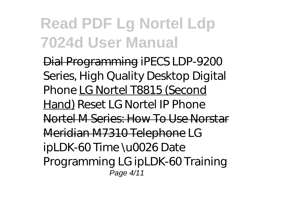Dial Programming *iPECS LDP-9200 Series, High Quality Desktop Digital Phone* LG Nortel T8815 (Second Hand) Reset LG Nortel IP Phone Nortel M Series: How To Use Norstar Meridian M7310 Telephone *LG ipLDK-60 Time \u0026 Date Programming LG ipLDK-60 Training* Page 4/11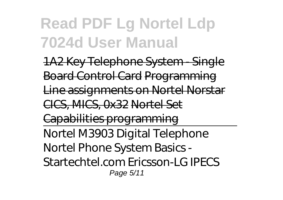1A2 Key Telephone System - Single Board Control Card Programming Line assignments on Nortel Norstar CICS, MICS, 0x32 Nortel Set Capabilities programming Nortel M3903 Digital Telephone Nortel Phone System Basics - Startechtel.com Ericsson-LG IPECS Page 5/11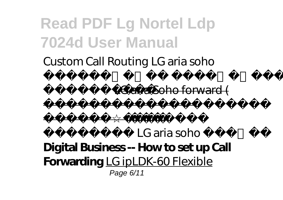Custom Call Routing LG aria soho

ة ملاكم ليوحت اليوحت اليوحت اليوحت اليوحت اليوحت اليوحت اليوحت اليوحت اليوحت اليوحت اليوحت اليوحت اليوحت اليوح

ةجمربل LG aria Soho forward (

*ءزجلا* (ايئاقلت *تلاتلا LG aria soho دادغا* **Digital Business -- How to set up Call Forwarding** LG ipLDK-60 Flexible Page 6/11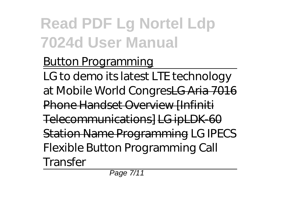#### Button Programming

LG to demo its latest LTE technology at Mobile World CongresLG Aria 7016 **Phone Handset Overview [Infiniti** Telecommunications] LG ipLDK-60 Station Name Programming *LG IPECS Flexible Button Programming Call Transfer*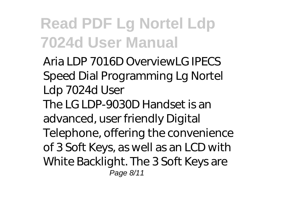Aria LDP 7016D Overview*LG IPECS Speed Dial Programming* Lg Nortel Ldp 7024d User The LG LDP-9030D Handset is an advanced, user friendly Digital Telephone, offering the convenience of 3 Soft Keys, as well as an LCD with White Backlight. The 3 Soft Keys are Page 8/11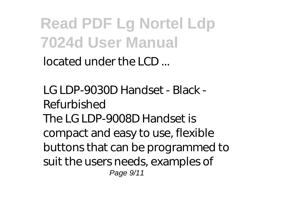located under the LCD ...

LG LDP-9030D Handset - Black - Refurbished The LG LDP-9008D Handset is compact and easy to use, flexible buttons that can be programmed to suit the users needs, examples of Page 9/11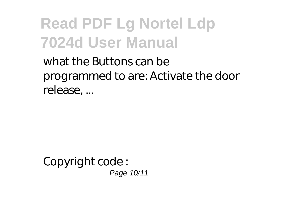what the Buttons can be programmed to are: Activate the door release, ...

Copyright code : Page 10/11